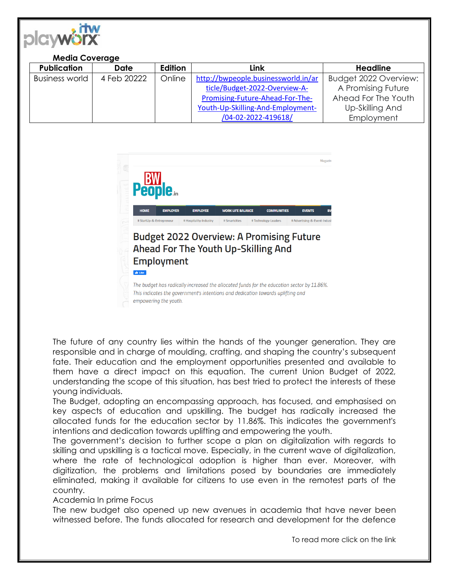

## **Media Coverage**

| <b>Publication</b> | <b>Date</b> | Edition | Link                                | <b>Headline</b>       |
|--------------------|-------------|---------|-------------------------------------|-----------------------|
| Business world     | 4 Feb 20222 | Online  | http://bwpeople.businessworld.in/ar | Budget 2022 Overview: |
|                    |             |         | ticle/Budget-2022-Overview-A-       | A Promising Future    |
|                    |             |         | Promising-Future-Ahead-For-The-     | Ahead For The Youth   |
|                    |             |         | Youth-Up-Skilling-And-Employment-   | Up-Skilling And       |
|                    |             |         | /04-02-2022-419618/                 | Employment            |



empowering the youth.

The future of any country lies within the hands of the younger generation. They are responsible and in charge of moulding, crafting, and shaping the country's subsequent fate. Their education and the employment opportunities presented and available to them have a direct impact on this equation. The current Union Budget of 2022, understanding the scope of this situation, has best tried to protect the interests of these young individuals.

The Budget, adopting an encompassing approach, has focused, and emphasised on key aspects of education and upskilling. The budget has radically increased the allocated funds for the education sector by 11.86%. This indicates the government's intentions and dedication towards uplifting and empowering the youth.

The government's decision to further scope a plan on digitalization with regards to skilling and upskilling is a tactical move. Especially, in the current wave of digitalization, where the rate of technological adoption is higher than ever. Moreover, with digitization, the problems and limitations posed by boundaries are immediately eliminated, making it available for citizens to use even in the remotest parts of the country.

## Academia In prime Focus

The new budget also opened up new avenues in academia that have never been witnessed before. The funds allocated for research and development for the defence

To read more click on the link